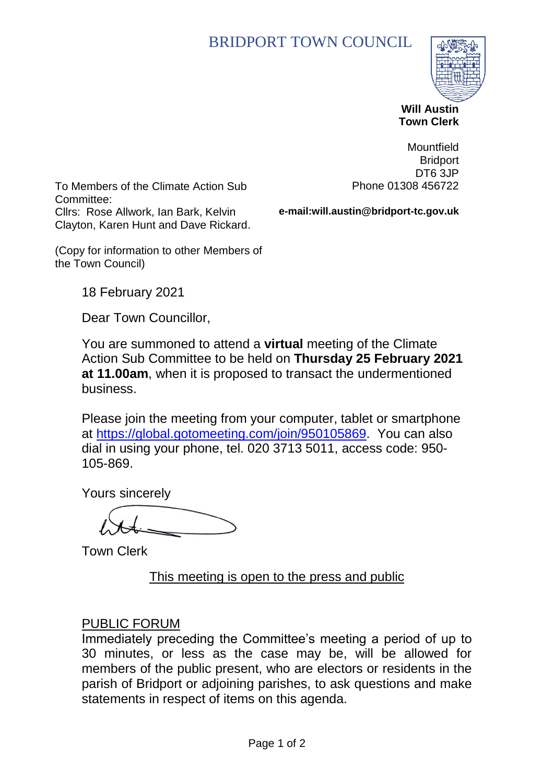# BRIDPORT TOWN COUNCIL



 **Will Austin Town Clerk**

To Members of the Climate Action Sub Committee: Cllrs: Rose Allwork, Ian Bark, Kelvin Clayton, Karen Hunt and Dave Rickard.

**Mountfield Bridport** DT6 3JP Phone 01308 456722

**e-mail:will.austin@bridport-tc.gov.uk**

(Copy for information to other Members of the Town Council)

18 February 2021

Dear Town Councillor,

You are summoned to attend a **virtual** meeting of the Climate Action Sub Committee to be held on **Thursday 25 February 2021 at 11.00am**, when it is proposed to transact the undermentioned business.

Please join the meeting from your computer, tablet or smartphone at [https://global.gotomeeting.com/join/950105869.](https://global.gotomeeting.com/join/950105869) You can also dial in using your phone, tel. 020 3713 5011, access code: 950- 105-869.

Yours sincerely

Town Clerk

This meeting is open to the press and public

#### PUBLIC FORUM

Immediately preceding the Committee's meeting a period of up to 30 minutes, or less as the case may be, will be allowed for members of the public present, who are electors or residents in the parish of Bridport or adjoining parishes, to ask questions and make statements in respect of items on this agenda.